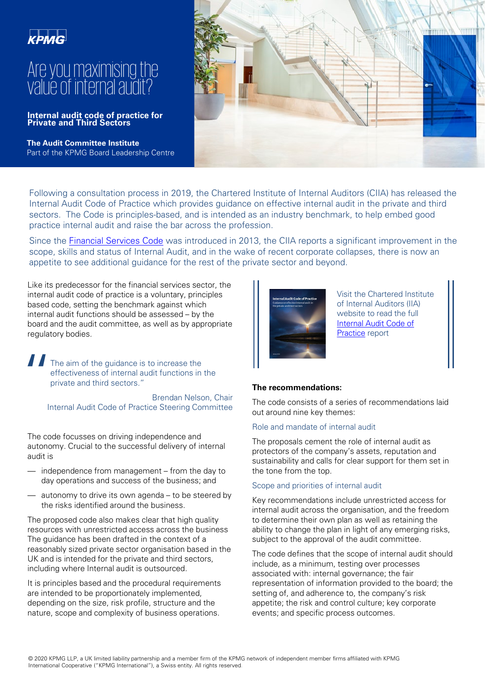

# Are you maximising the value of internal audit?

**Internal audit code of practice for Private and Third Sectors**

**The Audit Committee Institute** Part of the KPMG Board Leadership Centre



Following a consultation process in 2019, the Chartered Institute of Internal Auditors (CIIA) has released the Internal Audit Code of Practice which provides guidance on effective internal audit in the private and third sectors. The Code is principles-based, and is intended as an industry benchmark, to help embed good practice internal audit and raise the bar across the profession.

Since the [Financial Services Code](https://www.iia.org.uk/resources/sector-specific-standards-guidance/financial-services/financial-services-code/) was introduced in 2013, the CIIA reports a significant improvement in the scope, skills and status of Internal Audit, and in the wake of recent corporate collapses, there is now an appetite to see additional guidance for the rest of the private sector and beyond.

Like its predecessor for the financial services sector, the internal audit code of practice is a voluntary, principles based code, setting the benchmark against which internal audit functions should be assessed – by the board and the audit committee, as well as by appropriate regulatory bodies.

 $\begin{array}{c} \prod_{\substack{r \in \mathbb{N} \\ r}} \mathbb{I} \end{array}$ The aim of the guidance is to increase the effectiveness of internal audit functions in the private and third sectors."

Brendan Nelson, Chair Internal Audit Code of Practice Steering Committee

The code focusses on driving independence and autonomy. Crucial to the successful delivery of internal audit is

- independence from management from the day to day operations and success of the business; and
- autonomy to drive its own agenda to be steered by the risks identified around the business.

The proposed code also makes clear that high quality resources with unrestricted access across the business The guidance has been drafted in the context of a reasonably sized private sector organisation based in the UK and is intended for the private and third sectors, including where Internal audit is outsourced.

It is principles based and the procedural requirements are intended to be proportionately implemented, depending on the size, risk profile, structure and the nature, scope and complexity of business operations.



Visit the Chartered Institute of Internal Auditors (IIA) website to read the full [Internal Audit Code of](https://www.iia.org.uk/policy-and-research/internal-audit-code-of-practice/) Practice report

## **The recommendations:**

The code consists of a series of recommendations laid out around nine key themes:

## Role and mandate of internal audit

The proposals cement the role of internal audit as protectors of the company's assets, reputation and sustainability and calls for clear support for them set in the tone from the top.

#### Scope and priorities of internal audit

Key recommendations include unrestricted access for internal audit across the organisation, and the freedom to determine their own plan as well as retaining the ability to change the plan in light of any emerging risks, subject to the approval of the audit committee.

The code defines that the scope of internal audit should include, as a minimum, testing over processes associated with: internal governance; the fair representation of information provided to the board; the setting of, and adherence to, the company's risk appetite; the risk and control culture; key corporate events; and specific process outcomes.